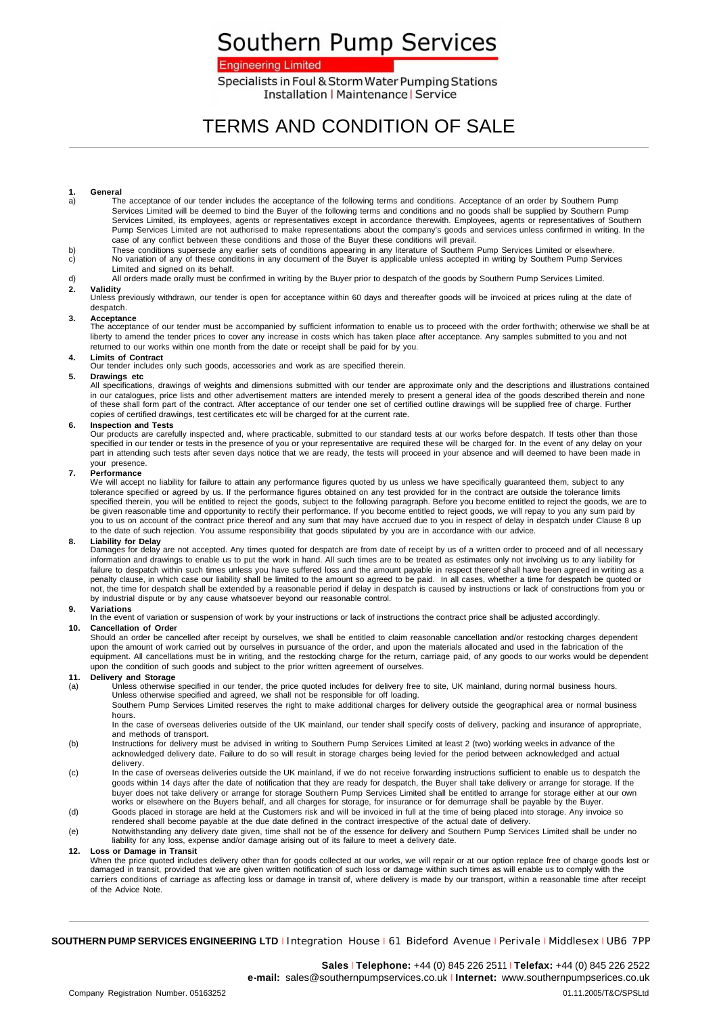# Southern Pump Services

### **Engineering Limited**

Specialists in Foul & Storm Water Pumping Stations **Installation | Maintenance | Service** 

# TERMS AND CONDITION OF SALE

## **1. General**

- a) The acceptance of our tender includes the acceptance of the following terms and conditions. Acceptance of an order by Southern Pump Services Limited will be deemed to bind the Buyer of the following terms and conditions and no goods shall be supplied by Southern Pump<br>Services Limited, its employees, agents or representatives except in accordance therew Pump Services Limited are not authorised to make representations about the company's goods and services unless confirmed in writing. In the case of any conflict between these conditions and those of the Buyer these conditions will prevail.
- b) These conditions supersede any earlier sets of conditions appearing in any literature of Southern Pump Services Limited or elsewhere.<br>No variation of any of these conditions in any document of the Buyer is applicable un c) No variation of any of these conditions in any document of the Buyer is applicable unless accepted in writing by Southern Pump Services Limited and signed on its behalf.
- d) All orders made orally must be confirmed in writing by the Buyer prior to despatch of the goods by Southern Pump Services Limited.

**2. Validity** Unless previously withdrawn, our tender is open for acceptance within 60 days and thereafter goods will be invoiced at prices ruling at the date of despatch.

**3. Acceptance** The acceptance of our tender must be accompanied by sufficient information to enable us to proceed with the order forthwith; otherwise we shall be at liberty to amend the tender prices to cover any increase in costs which has taken place after acceptance. Any samples submitted to you and not returned to our works within one month from the date or receipt shall be paid for by you.

**4. Limits of Contract**  Our tender includes only such goods, accessories and work as are specified therein.

#### **5. Drawings etc**

All specifications, drawings of weights and dimensions submitted with our tender are approximate only and the descriptions and illustrations contained in our catalogues, price lists and other advertisement matters are intended merely to present a general idea of the goods described therein and none of these shall form part of the contract. After acceptance of our tender one set of certified outline drawings will be supplied free of charge. Further copies of certified drawings, test certificates etc will be charged for at the current rate.

#### **6. Inspection and Tests**

Our products are carefully inspected and, where practicable, submitted to our standard tests at our works before despatch. If tests other than those<br>specified in our tender or tests in the presence of you or your represent part in attending such tests after seven days notice that we are ready, the tests will proceed in your absence and will deemed to have been made in your presence.

#### **7. Performance**

We will accept no liability for failure to attain any performance figures quoted by us unless we have specifically guaranteed them, subject to any tolerance specified or agreed by us. If the performance figures obtained on any test provided for in the contract are outside the tolerance limits specified therein, you will be entitled to reject the goods, subject to the following paragraph. Before you become entitled to reject the goods, we are to<br>be given reasonable time and opportunity to rectify their performan you to us on account of the contract price thereof and any sum that may have accrued due to you in respect of delay in despatch under Clause 8 up to the date of such rejection. You assume responsibility that goods stipulated by you are in accordance with our advice.

#### **8. Liability for Delay**

Damages for delay are not accepted. Any times quoted for despatch are from date of receipt by us of a written order to proceed and of all necessary information and drawings to enable us to put the work in hand. All such times are to be treated as estimates only not involving us to any liability for failure to despatch within such times unless you have suffered loss and the amount payable in respect thereof shall have been agreed in writing as a penalty clause, in which case our liability shall be limited to the amount so agreed to be paid. In all cases, whether a time for despatch be quoted or<br>not, the time for despatch shall be extended by a reasonable period if by industrial dispute or by any cause whatsoever beyond our reasonable control.

#### **9. Variations**

In the event of variation or suspension of work by your instructions or lack of instructions the contract price shall be adjusted accordingly.

#### **10. Cancellation of Order**

Should an order be cancelled after receipt by ourselves, we shall be entitled to claim reasonable cancellation and/or restocking charges dependent upon the amount of work carried out by ourselves in pursuance of the order, and upon the materials allocated and used in the fabrication of the<br>equipment. All cancellations must be in writing, and the restocking charge for upon the condition of such goods and subject to the prior written agreement of ourselves.

### **11. Delivery and Storage**

(a) Unless otherwise specified in our tender, the price quoted includes for delivery free to site, UK mainland, during normal business hours. Unless otherwise specified and agreed, we shall not be responsible for off loading.

Southern Pump Services Limited reserves the right to make additional charges for delivery outside the geographical area or normal business hours.

In the case of overseas deliveries outside of the UK mainland, our tender shall specify costs of delivery, packing and insurance of appropriate, and methods of transport.

- (b) Instructions for delivery must be advised in writing to Southern Pump Services Limited at least 2 (two) working weeks in advance of the acknowledged delivery date. Failure to do so will result in storage charges being levied for the period between acknowledged and actual delivery.
- (c) In the case of overseas deliveries outside the UK mainland, if we do not receive forwarding instructions sufficient to enable us to despatch the goods within 14 days after the date of notification that they are ready for despatch, the Buyer shall take delivery or arrange for storage. If the buyer does not take delivery or arrange for storage Southern Pump Services Limited shall be entitled to arrange for storage either at our own<br>works or elsewhere on the Buyers behalf, and all charges for storage, for insura
- (d) Goods placed in storage are held at the Customers risk and will be invoiced in full at the time of being placed into storage. Any invoice so rendered shall become payable at the due date defined in the contract irrespective of the actual date of delivery.
- (e) Notwithstanding any delivery date given, time shall not be of the essence for delivery and Southern Pump Services Limited shall be under no liability for any loss, expense and/or damage arising out of its failure to meet a delivery date.

#### **12. Loss or Damage in Transit**

When the price quoted includes delivery other than for goods collected at our works, we will repair or at our option replace free of charge goods lost or<br>damaged in transit, provided that we are given written notification carriers conditions of carriage as affecting loss or damage in transit of, where delivery is made by our transport, within a reasonable time after receipt of the Advice Note.

**SOUTHERN PUMP SERVICES ENGINEERING LTD** <sup>I</sup> Integration House <sup>I</sup> 61 Bideford Avenue <sup>I</sup> Perivale <sup>I</sup> Middlesex <sup>I</sup> UB6 7PP

**Sales** <sup>I</sup> **Telephone:** +44 (0) 845 226 2511 <sup>I</sup> **Telefax:** +44 (0) 845 226 2522 **e-mail:** sales@southernpumpservices.co.uk <sup>I</sup> **Internet:** www.southernpumpserices.co.uk